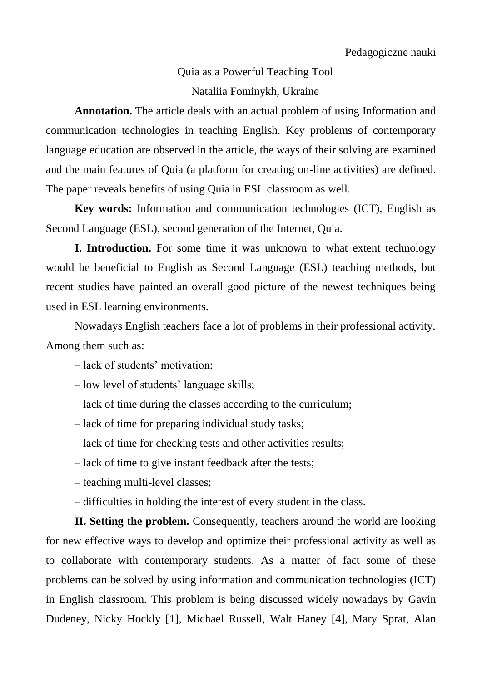## Quia as a Powerful Teaching Tool Nataliia Fominykh, Ukraine

**Annotation.** The article deals with an actual problem of using Information and communication technologies in teaching English. Key problems of contemporary language education are observed in the article, the ways of their solving are examined and the main features of Quia (a platform for creating on-line activities) are defined. The paper reveals benefits of using Quia in ESL classroom as well.

**Key words:** Information and communication technologies (ICT), English as Second Language (ESL), second generation of the Internet, Quia.

**I. Introduction.** For some time it was unknown to what extent technology would be beneficial to English as Second Language (ESL) teaching methods, but recent studies have painted an overall good picture of the newest techniques being used in ESL learning environments.

Nowadays English teachers face a lot of problems in their professional activity. Among them such as:

– lack of students' motivation;

– low level of students' language skills;

– lack of time during the classes according to the curriculum;

– lack of time for preparing individual study tasks;

– lack of time for checking tests and other activities results;

– lack of time to give instant feedback after the tests;

– teaching multi-level classes;

– difficulties in holding the interest of every student in the class.

**II. Setting the problem.** Consequently, teachers around the world are looking for new effective ways to develop and optimize their professional activity as well as to collaborate with contemporary students. As a matter of fact some of these problems can be solved by using information and communication technologies (ICT) in English classroom. This problem is being discussed widely nowadays by Gavin Dudeney, Nicky Hockly [1], Michael Russell, Walt Haney [4], Mary Sprat, Alan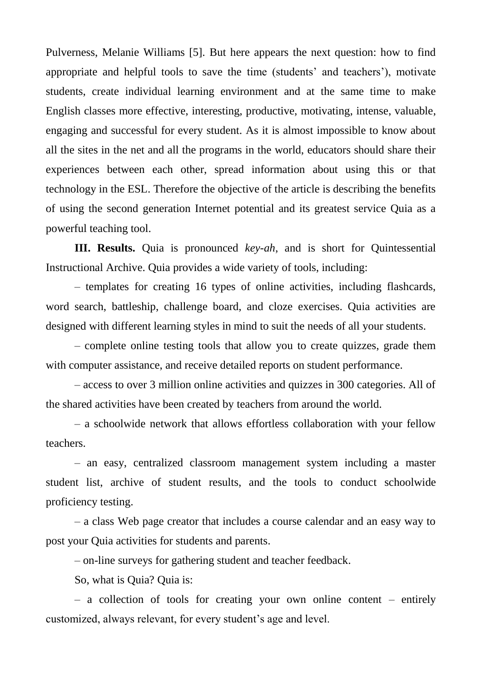Pulverness, Melanie Williams [5]. But here appears the next question: how to find appropriate and helpful tools to save the time (students' and teachers'), motivate students, create individual learning environment and at the same time to make English classes more effective, interesting, productive, motivating, intense, valuable, engaging and successful for every student. As it is almost impossible to know about all the sites in the net and all the programs in the world, educators should share their experiences between each other, spread information about using this or that technology in the ESL. Therefore the objective of the article is describing the benefits of using the second generation Internet potential and its greatest service Quia as a powerful teaching tool.

**III. Results.** Quia is pronounced *key-ah*, and is short for Quintessential Instructional Archive. Quia provides a wide variety of tools, including:

– templates for creating 16 types of online activities, including flashcards, word search, battleship, challenge board, and cloze exercises. Quia activities are designed with different learning styles in mind to suit the needs of all your students.

– complete online testing tools that allow you to create quizzes, grade them with computer assistance, and receive detailed reports on student performance.

– access to over 3 million online activities and quizzes in 300 categories. All of the shared activities have been created by teachers from around the world.

– a schoolwide network that allows effortless collaboration with your fellow teachers.

– an easy, centralized classroom management system including a master student list, archive of student results, and the tools to conduct schoolwide proficiency testing.

– a class Web page creator that includes a course calendar and an easy way to post your Quia activities for students and parents.

– on-line surveys for gathering student and teacher feedback.

So, what is Quia? Quia is:

– a collection of tools for creating your own online content – entirely customized, always relevant, for every student's age and level.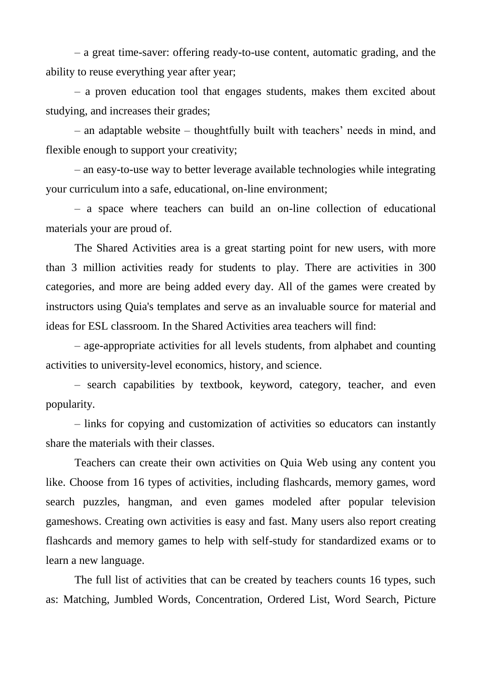– a great time-saver: offering ready-to-use content, automatic grading, and the ability to reuse everything year after year;

– a proven education tool that engages students, makes them excited about studying, and increases their grades;

– an adaptable website – thoughtfully built with teachers' needs in mind, and flexible enough to support your creativity;

– an easy-to-use way to better leverage available technologies while integrating your curriculum into a safe, educational, on-line environment;

– a space where teachers can build an on-line collection of educational materials your are proud of.

The Shared Activities area is a great starting point for new users, with more than 3 million activities ready for students to play. There are activities in 300 categories, and more are being added every day. All of the games were created by instructors using Quia's templates and serve as an invaluable source for material and ideas for ESL classroom. In the Shared Activities area teachers will find:

– age-appropriate activities for all levels students, from alphabet and counting activities to university-level economics, history, and science.

– search capabilities by textbook, keyword, category, teacher, and even popularity.

– links for copying and customization of activities so educators can instantly share the materials with their classes.

Teachers can create their own activities on Quia Web using any content you like. Choose from 16 types of activities, including flashcards, memory games, word search puzzles, hangman, and even games modeled after popular television gameshows. Creating own activities is easy and fast. Many users also report creating flashcards and memory games to help with self-study for standardized exams or to learn a new language.

The full list of activities that can be created by teachers counts 16 types, such as: Matching, Jumbled Words, Concentration, Ordered List, Word Search, Picture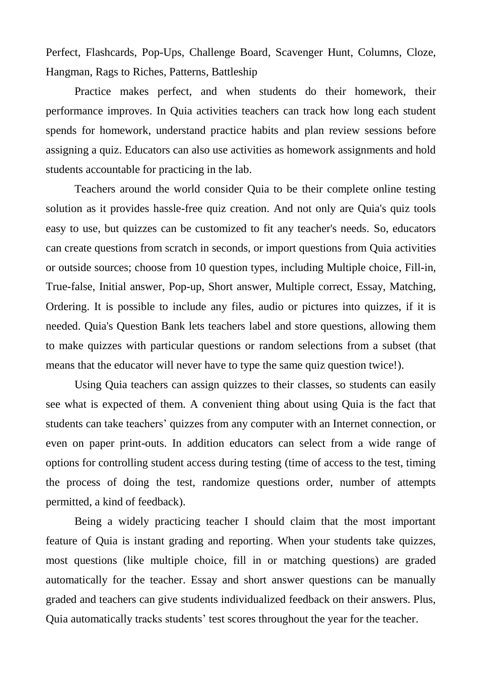Perfect, Flashcards, Pop-Ups, Challenge Board, Scavenger Hunt, Columns, Cloze, Hangman, Rags to Riches, Patterns, Battleship

Practice makes perfect, and when students do their homework, their performance improves. In Quia activities teachers can track how long each student spends for homework, understand practice habits and plan review sessions before assigning a quiz. Educators can also use activities as homework assignments and hold students accountable for practicing in the lab.

Teachers around the world consider Quia to be their complete online testing solution as it provides hassle-free quiz creation. And not only are Quia's quiz tools easy to use, but quizzes can be customized to fit any teacher's needs. So, educators can create questions from scratch in seconds, or import questions from Quia activities or outside sources; choose from 10 question types, including Multiple choice, Fill-in, True-false, Initial answer, Pop-up, Short answer, Multiple correct, Essay, Matching, Ordering. It is possible to include any files, audio or pictures into quizzes, if it is needed. Quia's Question Bank lets teachers label and store questions, allowing them to make quizzes with particular questions or random selections from a subset (that means that the educator will never have to type the same quiz question twice!).

Using Quia teachers can assign quizzes to their classes, so students can easily see what is expected of them. A convenient thing about using Quia is the fact that students can take teachers' quizzes from any computer with an Internet connection, or even on paper print-outs. In addition educators can select from a wide range of options for controlling student access during testing (time of access to the test, timing the process of doing the test, randomize questions order, number of attempts permitted, a kind of feedback).

Being a widely practicing teacher I should claim that the most important feature of Quia is instant grading and reporting. When your students take quizzes, most questions (like multiple choice, fill in or matching questions) are graded automatically for the teacher. Essay and short answer questions can be manually graded and teachers can give students individualized feedback on their answers. Plus, Quia automatically tracks students' test scores throughout the year for the teacher.